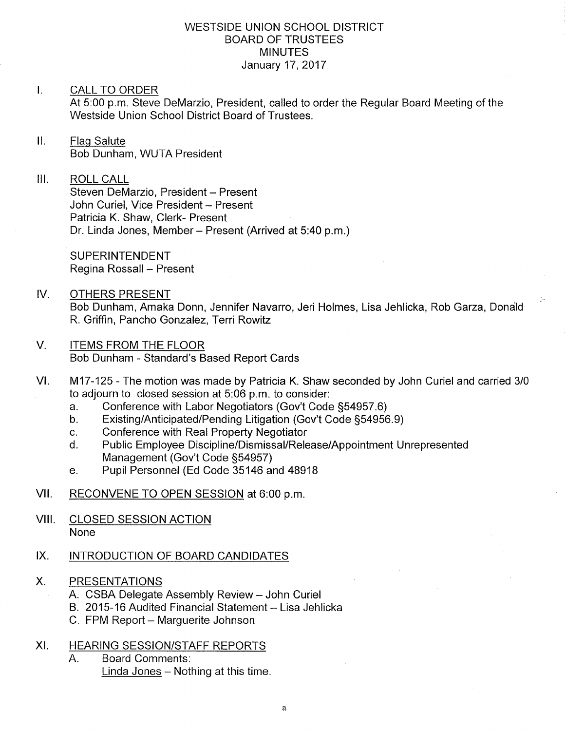### WESTSIDE UNION SCHOOL DISTRICT BOARD OF TRUSTEES **MINUTES** January 17,2017

### I. CALL TO ORDER

At 5:00 p.m. Steve DeMarzio, President, called to order the Regular Board Meeting of the Westside Union School District Board of Trustees.

### II. Flag Salute Bob Dunham, WUTA President

## III. ROLL CALL

Steven DeMarzio, President - Present John Curiel, Vice President - Present Patricia K. Shaw, Clerk- Present Dr. Linda Jones, Member - Present (Arrived at 5:40 p.m.)

SUPERINTENDENT Regina Rossall - Present

- IV. OTHERS PRESENT Bob Dunham, Amaka Donn, Jennifer Navarro, Jeri Holmes, Lisa Jehlicka, Rob Garza, Dona'ld R. Griffin, Pancho Gonzalez, Terri Rowitz
- V. ITEMS FROM THE FLOOR Bob Dunham - Standard's Based Report Cards
- M17-125 The motion was made by Patricia K. Shaw seconded by John Curiel and carried 3/0 to adjourn to closed session at 5:06 p.m. to consider: VI
	-
	- a. Conference with Labor Negotiators (Gov't Code §54957.6)<br>b. Existing/Anticipated/Pending Litigation (Gov't Code §54956.9)<br>c. Conference with Real Property Negotiator
	-
	- c. Conference with Real Property Negotiator<br>d. Public Employee Discipline/Dismissal/Release/Appointment Unrepresented<br>Management (Gov't Code §54957)
	- e. Pupil Personnel (Ed Code 35146 and 48918
- VII. RECONVENE TO OPEN SESSION at 6:00 p.m.
- VIII. CLOSED SESSION ACTION None

#### IX INTRODUCTION OF BOARD CANDIDATES

- X. PRESENTATIONS
	- A. CSBA Delegate Assembly Review John Curiel
	- B. 2015-16 Audited Financial Statement Lisa Jehlicka
	- C. FPM Report Marquerite Johnson
- XI. HEARING SESSION/STAFF REPORTS
	- A. Board Comments
		- Linda Jones  $-$  Nothing at this time.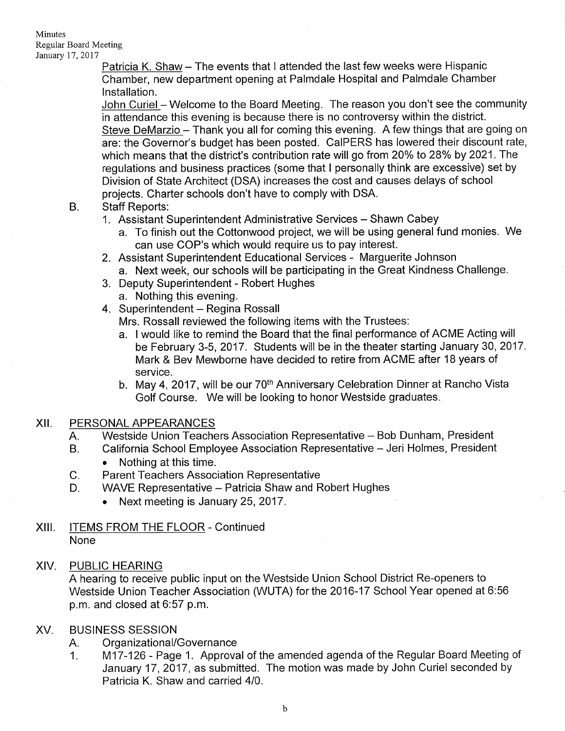Minutes Regular Board Meeting January 17, 2017

> Patricia K. Shaw - The events that I attended the last few weeks were Hispanic Chamber, new department opening at Palmdale Hospital and Palmdale Chamber lnstallation.

John Curiel - Welcome to the Board Meeting. The reason you don't see the community in attendance this evening is because there is no controversy within the district Steve DeMarzio - Thank you all for coming this evening. A few things that are going on are: the Governor's budget has been posted. CaIPERS has lowered their discount rate, which means that the district's contribution rate will go from 20% to 28% by 2021. The regulations and business practices (some that I personally think are excessive) set by Division of State Architect (DSA) increases the cost and causes delays of school projects. Charter schools don't have to comply with DSA. B. Staff Reports:

- - 1. Assistant Superintendent Administrative Services Shawn Cabey
		- a. To finish out the Cottonwood project, we will be using general fund monies. We can use COP's which would require us to pay interest.
	- 2. Assistant Superintendent Educational Services Marguerite Johnson a. Next week, our schools will be participating in the Great Kindness Challenge.
	- 3. Deputy Superintendent Robert Hughes
		- a. Nothing this evening.
	- 4. Superintendent Regina Rossall

Mrs. Rossall reviewed the following items with the Trustees:

- a. I would like to remind the Board that the final performance of ACME Acting will be February 3-5, 2017. Students will be in the theater starting January 30,2017. Mark & Bev Mewborne have decided to retire from ACME after 1B years of service.
- b. May 4, 2017, will be our 70<sup>th</sup> Anniversary Celebration Dinner at Rancho Vista Golf Course. We will be looking to honor Westside graduates.

# XII. PERSONALAPPEARANCES

- Westside Union Teachers Association Representative Bob Dunham, President A.
- California School Employee Association Representative Jeri Holmes, President B.
	- . Nothing at this time.
- Parent Teachers Association Representative C.
- WAVE Representative Patricia Shaw and Robert Hughes D.
	- . Next meeting is January 25,2017.
- XIII. None ITEMS FROM THE FLOOR - Continued
- XIV. PUBLIC HEARING

A hearing to receive public input on the Westside Union School District Re-openers to Westside Union Teacher Association (WUTA) for the 2016-17 School Year opened at 6:56 p.m. and closed at 6:57 p.m.

#### BUSINESS SESSION XV

- 
- A. Organizational/Governance<br>1. M17-126 Page 1. Approval of the amended agenda of the Regular Board Meeting of January 17,2017, as submitted. The motion was made by John Curiel seconded by Patricia K. Shaw and carried 410.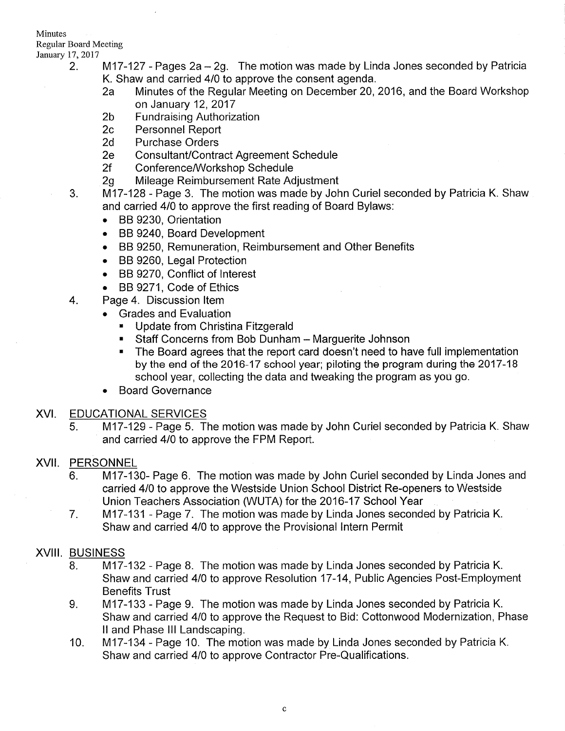### Minutes

Regular Board Meeting

- January 17, 2017<br>2. **M17-127 Pages 2a 2g.** The motion was made by Linda Jones seconded by Patricia
	- K. Shaw and carried 4/0 to approve the consent agenda.<br>2a Minutes of the Regular Meeting on December 20, 2016, and the Board Workshop
	- on January 12, 2017<br>2b Fundraising Authorization<br>2c Personnel Report<br>2d Purchase Orders
	-
	-
	-
	-
	-
	- 2e Consultant/Contract Agreement Schedule<br>2f Conference/Workshop Schedule<br>2g Mileage Reimbursement Rate Adjustment<br>3. M17-128 Page 3. The motion was made by John Curiel seconded by Patricia K. Shaw and carried 410 to approve the first reading of Board Bylaws:
		- . BB 9230, Orientation
		- . BB 9240, Board Development
		- . BB 9250, Remuneration, Reimbursement and Other Benefits
		- . BB 9260, Legal Protection
		- . BB 9270, Conflict of lnterest
		-
	- BB 9271, Code of Ethics<br>
	4. Page 4. Discussion Item<br>
	 Grades and Evaluation<br>
	 Update from Christina Fitzgerald
		- -
			- **E** Staff Concerns from Bob Dunham Marguerite Johnson
			- ' The Board agrees that the report card doesn't need to have full implementation by the end of the 2016-17 school year; piloting the program during the 2017-18 school year, collecting the data and tweaking the program as you go.
		- . Board Governance

### XVI. EDUCATIONALSERVICES

5. M17-129 - Page 5. The motion was made by John Curiel seconded by Patricia K. Shaw and carried 410 to approve the FPM Report.

# XVII. PERSONNEL

- <sup>6</sup> M17-130- Page 6. The motion was made by John Curiel seconded by Linda Jones and carried 4/0 to approve the Westside Union School District Re-openers to Westside Union Teachers Association (WUTA) for the 2016-17 School Year
- M17-131 Page 7. The motion was made by Linda Jones seconded by Patricia K. Shaw and carried 410 to approve the Provisional lntern Permit 7

# XVIII. BUSINESS

- 8. M17-132 Page 8. The motion was made by Linda Jones seconded by Patricia K. Shaw and carried 410 to approve Resolution 17-14, Public Agencies Post-Employment Benefits Trust
- 9. M17-133 Page 9. The motion was made by Linda Jones seconded by Patricia K. Shaw and carried 410 to approve the Request to Bid: Cottonwood Modernization, Phase ll and Phase III Landscaping.<br>10. loM17-134 - Page 10. The motion was made by Linda Jones seconded by Patricia K.
- Shaw and carried 410 to approve Contractor Pre-Qualifications.